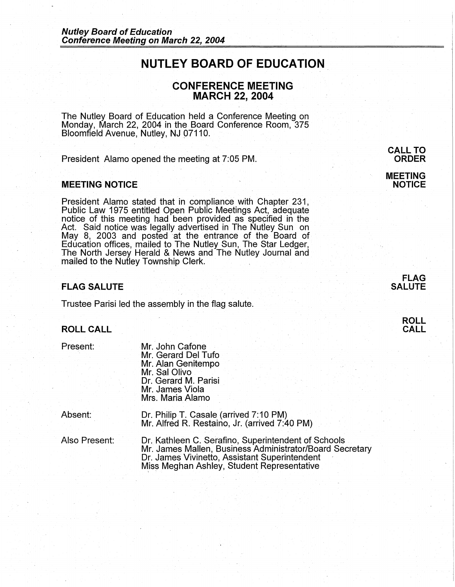# **NUTLEY BOARD OF EDUCATION**

# **CONFERENCE MEETING MARCH 22, 2004**

The Nutley Board of Education held a Conference Meeting on Monday, March 22, 2004 in the Board Conference Room, 375 Bloomfield Avenue, Nutley, NJ 07110.

President Alamo opened the meeting at 7:05 PM.

## **MEETING NOTICE**

President Alamo stated that in compliance with Chapter 231, Public Law 1975 entitled Open Public Meetings Act, adequate notice of this meeting had been provided as specified in the Act. Said notice was legally advertised in The Nutley Sun on May 8, 2003 and posted at the entrance of the Board of Education offices, mailed to The Nutley Sun, The Star Ledger, The North Jersey Herald & News and The Nutley Journal and mailed to the Nutley Township Clerk.

## **FLAG SALUTE**

Trustee Parisi led the assembly in the flag salute.

#### **ROLL CALL**

Present:

Mr. John Cafone Mr. Gerard Del Tufo Mr. Alan Genitempo Mr. Sal Olivo Dr. Gerard M. Parisi Mr. James Viola Mrs. Maria Alamo

Absent: Dr. Philip T. Casale (arrived 7:10 PM) Mr. Alfred R. Restaino, Jr. (arrived 7:40 PM)

Also Present:

Dr. Kathleen C. Serafino, Superintendent of Schools Mr. James Mallen, Business Administrator/Board Secretary Dr. James Vivinetto, Assistant Superintendent Miss Meghan Ashley, Student Representative

**MEETING NOTICE** 



**ROLL CALL**